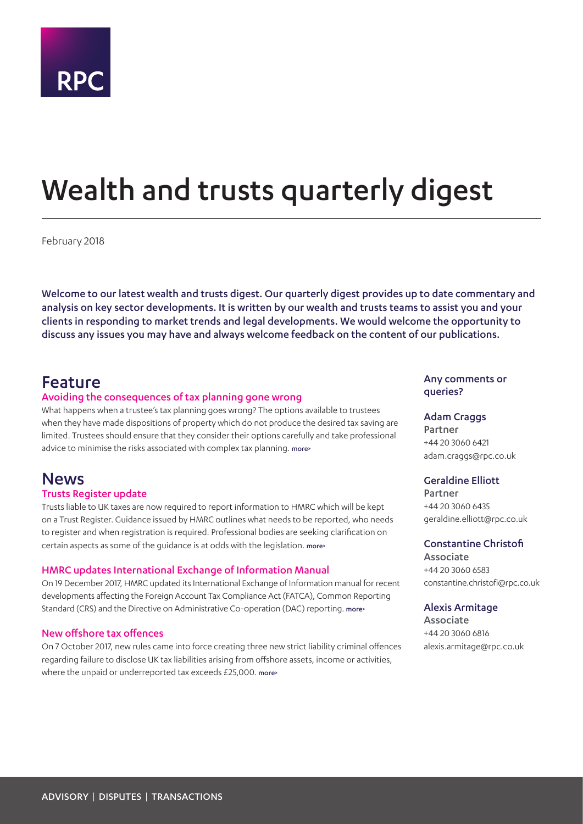

# <span id="page-0-0"></span>Wealth and trusts quarterly digest

February 2018

Welcome to our latest wealth and trusts digest. Our quarterly digest provides up to date commentary and analysis on key sector developments. It is written by our wealth and trusts teams to assist you and your clients in responding to market trends and legal developments. We would welcome the opportunity to discuss any issues you may have and always welcome feedback on the content of our publications.

# Feature

### Avoiding the consequences of tax planning gone wrong

What happens when a trustee's tax planning goes wrong? The options available to trustees when they have made dispositions of property which do not produce the desired tax saving are limited. Trustees should ensure that they consider their options carefully and take professional advice to minimise the risks associated with complex tax planning. [more>](#page-2-0)

# **News**

#### Trusts Register update

Trusts liable to UK taxes are now required to report information to HMRC which will be kept on a Trust Register. Guidance issued by HMRC outlines what needs to be reported, who needs to register and when registration is required. Professional bodies are seeking clarification on certain aspects as some of the guidance is at odds with the legislation. [more>](#page-4-0)

#### HMRC updates International Exchange of Information Manual

On 19 December 2017, HMRC updated its International Exchange of Information manual for recent developments affecting the Foreign Account Tax Compliance Act (FATCA), Common Reporting Standard (CRS) and the Directive on Administrative Co-operation (DAC) reporting. [more>](#page-5-0)

#### New offshore tax offences

On 7 October 2017, new rules came into force creating three new strict liability criminal offences regarding failure to disclose UK tax liabilities arising from offshore assets, income or activities, where the unpaid or underreported tax exceeds £25,000. [more>](#page-6-0)

### Any comments or queries?

#### Adam Craggs

Partner +44 20 3060 6421 adam.craggs@rpc.co.uk

## Geraldine Elliott

Partner +44 20 3060 6435 geraldine.elliott@rpc.co.uk

#### Constantine Christofi

Associate +44 20 3060 6583 constantine.christofi@rpc.co.uk

#### Alexis Armitage

Associate +44 20 3060 6816 alexis.armitage@rpc.co.uk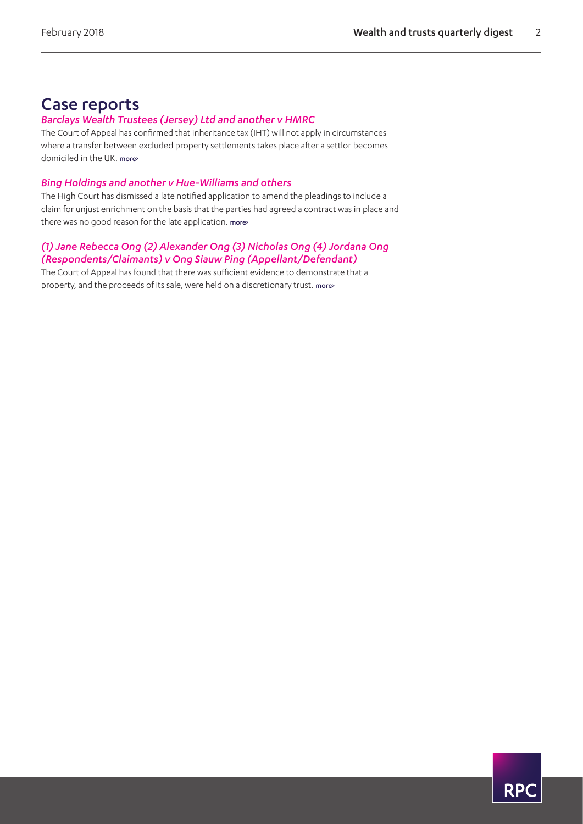# Case reports

# *Barclays Wealth Trustees (Jersey) Ltd and another v HMRC*

The Court of Appeal has confirmed that inheritance tax (IHT) will not apply in circumstances where a transfer between excluded property settlements takes place after a settlor becomes domiciled in the UK. [more>](#page-7-0)

# *Bing Holdings and another v Hue-Williams and others*

The High Court has dismissed a late notified application to amend the pleadings to include a claim for unjust enrichment on the basis that the parties had agreed a contract was in place and there was no good reason for the late application. [more>](#page-9-0)

# *(1) Jane Rebecca Ong (2) Alexander Ong (3) Nicholas Ong (4) Jordana Ong (Respondents/Claimants) v Ong Siauw Ping (Appellant/Defendant)*

The Court of Appeal has found that there was sufficient evidence to demonstrate that a property, and the proceeds of its sale, were held on a discretionary trust. [more>](#page-10-0)

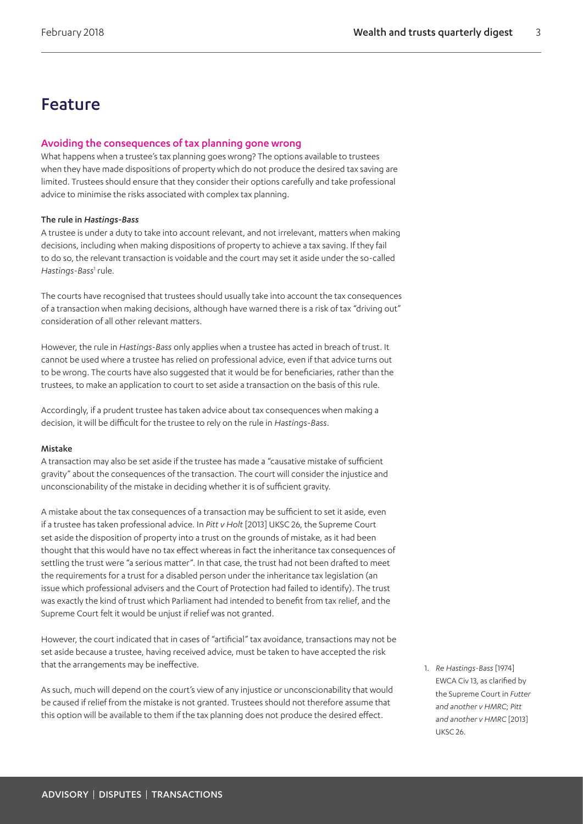# Feature

# <span id="page-2-0"></span>Avoiding the consequences of tax planning gone wrong

What happens when a trustee's tax planning goes wrong? The options available to trustees when they have made dispositions of property which do not produce the desired tax saving are limited. Trustees should ensure that they consider their options carefully and take professional advice to minimise the risks associated with complex tax planning.

### The rule in *Hastings-Bass*

A trustee is under a duty to take into account relevant, and not irrelevant, matters when making decisions, including when making dispositions of property to achieve a tax saving. If they fail to do so, the relevant transaction is voidable and the court may set it aside under the so-called Hastings-Bass<sup>[1](#page-2-1)</sup> rule.

The courts have recognised that trustees should usually take into account the tax consequences of a transaction when making decisions, although have warned there is a risk of tax "driving out" consideration of all other relevant matters.

However, the rule in *Hastings-Bass* only applies when a trustee has acted in breach of trust. It cannot be used where a trustee has relied on professional advice, even if that advice turns out to be wrong. The courts have also suggested that it would be for beneficiaries, rather than the trustees, to make an application to court to set aside a transaction on the basis of this rule.

Accordingly, if a prudent trustee has taken advice about tax consequences when making a decision, it will be difficult for the trustee to rely on the rule in *Hastings-Bass*.

#### Mistake

A transaction may also be set aside if the trustee has made a "causative mistake of sufficient gravity" about the consequences of the transaction. The court will consider the injustice and unconscionability of the mistake in deciding whether it is of sufficient gravity.

A mistake about the tax consequences of a transaction may be sufficient to set it aside, even if a trustee has taken professional advice. In *Pitt v Holt* [2013] UKSC 26, the Supreme Court set aside the disposition of property into a trust on the grounds of mistake, as it had been thought that this would have no tax effect whereas in fact the inheritance tax consequences of settling the trust were "a serious matter". In that case, the trust had not been drafted to meet the requirements for a trust for a disabled person under the inheritance tax legislation (an issue which professional advisers and the Court of Protection had failed to identify). The trust was exactly the kind of trust which Parliament had intended to benefit from tax relief, and the Supreme Court felt it would be unjust if relief was not granted.

However, the court indicated that in cases of "artificial" tax avoidance, transactions may not be set aside because a trustee, having received advice, must be taken to have accepted the risk that the arrangements may be ineffective.

As such, much will depend on the court's view of any injustice or unconscionability that would be caused if relief from the mistake is not granted. Trustees should not therefore assume that this option will be available to them if the tax planning does not produce the desired effect.

<span id="page-2-1"></span>1. *Re Hastings-Bass* [1974] EWCA Civ 13, as clarified by the Supreme Court in *Futter and another v HMRC*; *Pitt and another v HMRC* [2013] UKSC 26.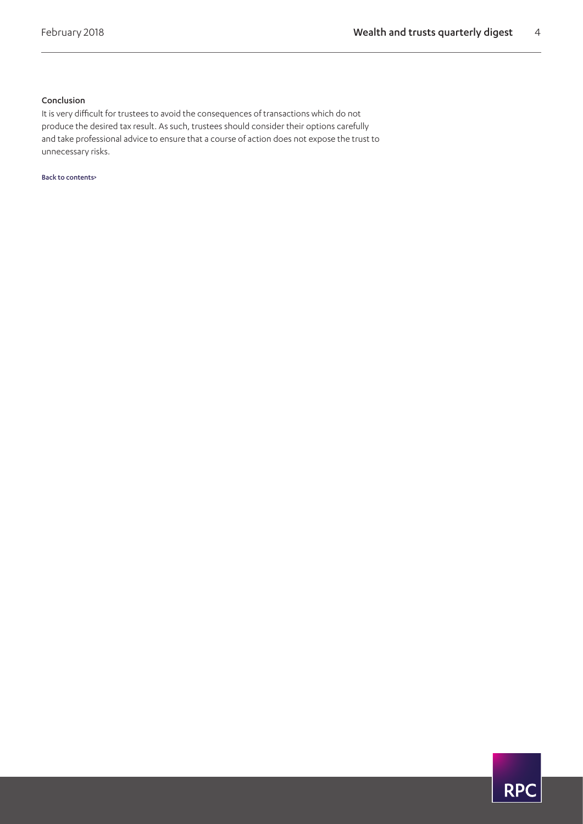# Conclusion

It is very difficult for trustees to avoid the consequences of transactions which do not produce the desired tax result. As such, trustees should consider their options carefully and take professional advice to ensure that a course of action does not expose the trust to unnecessary risks.

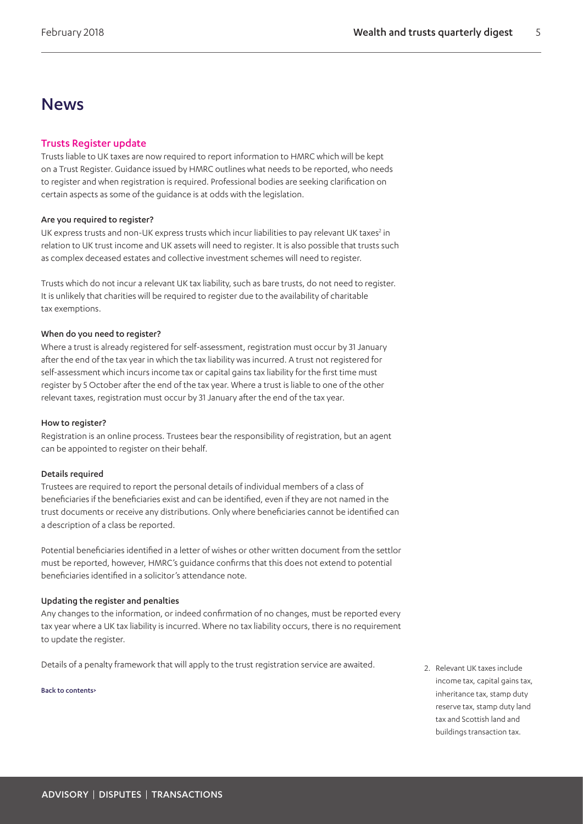# News

## <span id="page-4-0"></span>Trusts Register update

Trusts liable to UK taxes are now required to report information to HMRC which will be kept on a Trust Register. Guidance issued by HMRC outlines what needs to be reported, who needs to register and when registration is required. Professional bodies are seeking clarification on certain aspects as some of the guidance is at odds with the legislation.

#### Are you required to register?

UK express trusts and non-UK express trusts which incur liabilities to pay relevant UK taxes<sup>2</sup> in relation to UK trust income and UK assets will need to register. It is also possible that trusts such as complex deceased estates and collective investment schemes will need to register.

Trusts which do not incur a relevant UK tax liability, such as bare trusts, do not need to register. It is unlikely that charities will be required to register due to the availability of charitable tax exemptions.

#### When do you need to register?

Where a trust is already registered for self-assessment, registration must occur by 31 January after the end of the tax year in which the tax liability was incurred. A trust not registered for self-assessment which incurs income tax or capital gains tax liability for the first time must register by 5 October after the end of the tax year. Where a trust is liable to one of the other relevant taxes, registration must occur by 31 January after the end of the tax year.

#### How to register?

Registration is an online process. Trustees bear the responsibility of registration, but an agent can be appointed to register on their behalf.

#### Details required

Trustees are required to report the personal details of individual members of a class of beneficiaries if the beneficiaries exist and can be identified, even if they are not named in the trust documents or receive any distributions. Only where beneficiaries cannot be identified can a description of a class be reported.

Potential beneficiaries identified in a letter of wishes or other written document from the settlor must be reported, however, HMRC's guidance confirms that this does not extend to potential beneficiaries identified in a solicitor's attendance note.

#### Updating the register and penalties

Any changes to the information, or indeed confirmation of no changes, must be reported every tax year where a UK tax liability is incurred. Where no tax liability occurs, there is no requirement to update the register.

Details of a penalty framework that will apply to the trust registration service are awaited.

#### [Back to contents>](#page-0-0)

<span id="page-4-1"></span>2. Relevant UK taxes include income tax, capital gains tax, inheritance tax, stamp duty reserve tax, stamp duty land tax and Scottish land and buildings transaction tax.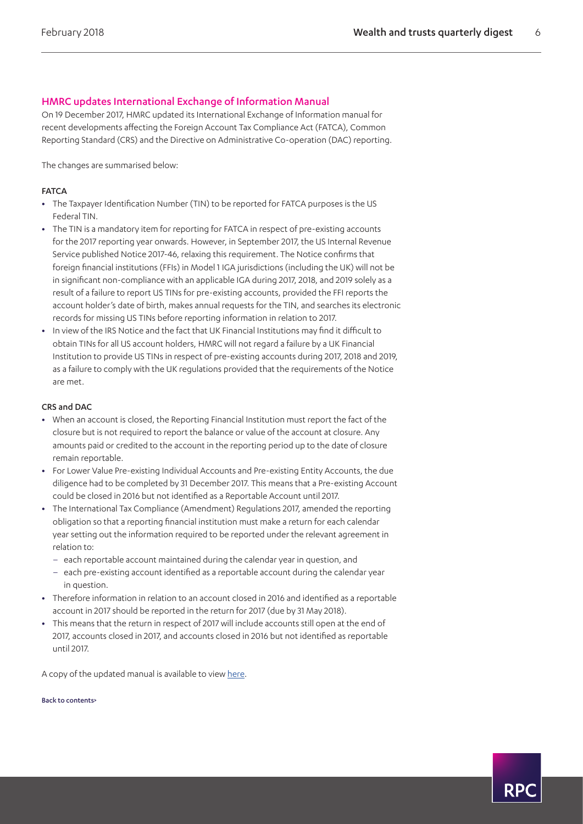# <span id="page-5-0"></span>HMRC updates International Exchange of Information Manual

On 19 December 2017, HMRC updated its International Exchange of Information manual for recent developments affecting the Foreign Account Tax Compliance Act (FATCA), Common Reporting Standard (CRS) and the Directive on Administrative Co-operation (DAC) reporting.

The changes are summarised below:

### **FATCA**

- **•** The Taxpayer Identification Number (TIN) to be reported for FATCA purposes is the US Federal TIN.
- **•** The TIN is a mandatory item for reporting for FATCA in respect of pre-existing accounts for the 2017 reporting year onwards. However, in September 2017, the US Internal Revenue Service published Notice 2017-46, relaxing this requirement. The Notice confirms that foreign financial institutions (FFIs) in Model 1 IGA jurisdictions (including the UK) will not be in significant non-compliance with an applicable IGA during 2017, 2018, and 2019 solely as a result of a failure to report US TINs for pre-existing accounts, provided the FFI reports the account holder's date of birth, makes annual requests for the TIN, and searches its electronic records for missing US TINs before reporting information in relation to 2017.
- **•** In view of the IRS Notice and the fact that UK Financial Institutions may find it difficult to obtain TINs for all US account holders, HMRC will not regard a failure by a UK Financial Institution to provide US TINs in respect of pre-existing accounts during 2017, 2018 and 2019, as a failure to comply with the UK regulations provided that the requirements of the Notice are met.

#### CRS and DAC

- **•** When an account is closed, the Reporting Financial Institution must report the fact of the closure but is not required to report the balance or value of the account at closure. Any amounts paid or credited to the account in the reporting period up to the date of closure remain reportable.
- **•** For Lower Value Pre-existing Individual Accounts and Pre-existing Entity Accounts, the due diligence had to be completed by 31 December 2017. This means that a Pre-existing Account could be closed in 2016 but not identified as a Reportable Account until 2017.
- **•** The International Tax Compliance (Amendment) Regulations 2017, amended the reporting obligation so that a reporting financial institution must make a return for each calendar year setting out the information required to be reported under the relevant agreement in relation to:
	- each reportable account maintained during the calendar year in question, and
	- each pre-existing account identified as a reportable account during the calendar year in question.
- **•** Therefore information in relation to an account closed in 2016 and identified as a reportable account in 2017 should be reported in the return for 2017 (due by 31 May 2018).
- **•** This means that the return in respect of 2017 will include accounts still open at the end of 2017, accounts closed in 2017, and accounts closed in 2016 but not identified as reportable until 2017.

A copy of the updated manual is available to view [here.](https://www.gov.uk/hmrc-internal-manuals/international-exchange-of-information/updates)

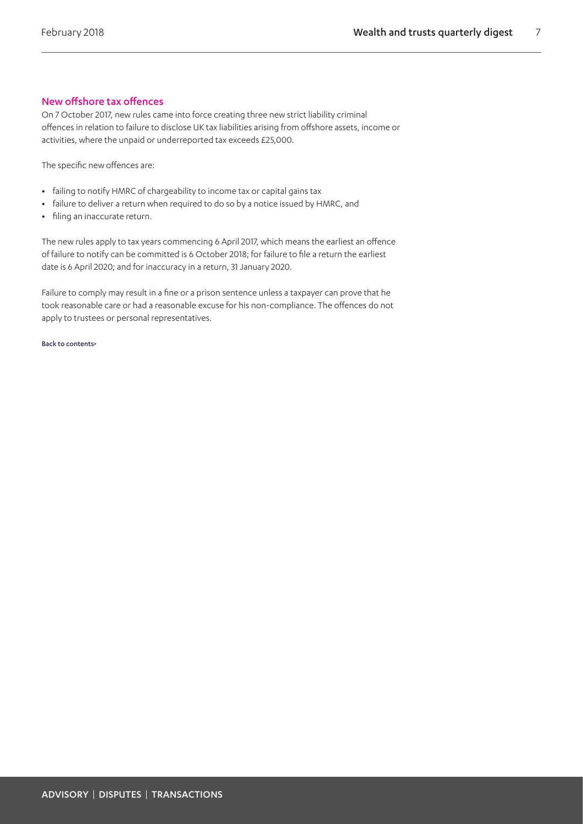# <span id="page-6-0"></span>New offshore tax offences

On 7 October 2017, new rules came into force creating three new strict liability criminal offences in relation to failure to disclose UK tax liabilities arising from offshore assets, income or activities, where the unpaid or underreported tax exceeds £25,000.

The specific new offences are:

- **•** failing to notify HMRC of chargeability to income tax or capital gains tax
- **•** failure to deliver a return when required to do so by a notice issued by HMRC, and
- **•** filing an inaccurate return.

The new rules apply to tax years commencing 6 April 2017, which means the earliest an offence of failure to notify can be committed is 6 October 2018; for failure to file a return the earliest date is 6 April 2020; and for inaccuracy in a return, 31 January 2020.

Failure to comply may result in a fine or a prison sentence unless a taxpayer can prove that he took reasonable care or had a reasonable excuse for his non-compliance. The offences do not apply to trustees or personal representatives.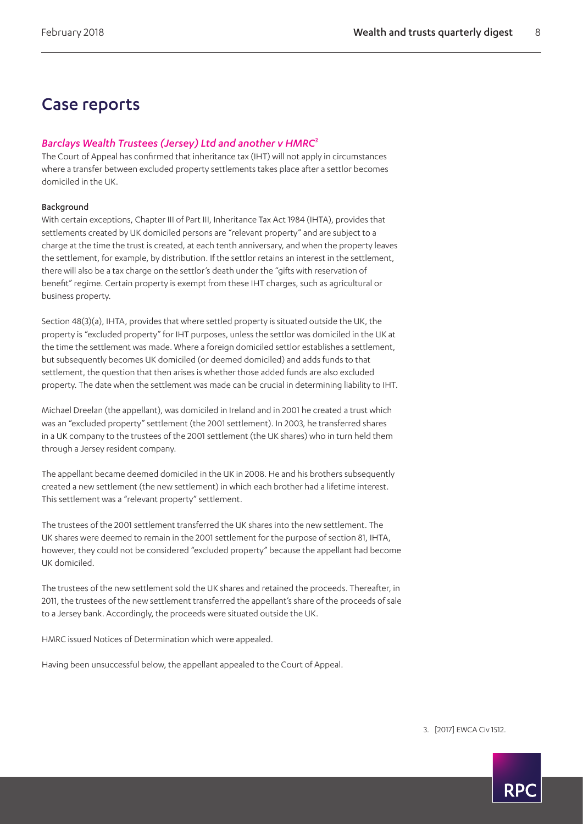# Case reports

# <span id="page-7-0"></span>*Barclays Wealth Trustees (Jersey) Ltd and another v HMRC[3](#page-7-1)*

The Court of Appeal has confirmed that inheritance tax (IHT) will not apply in circumstances where a transfer between excluded property settlements takes place after a settlor becomes domiciled in the UK.

## Background

With certain exceptions, Chapter III of Part III, Inheritance Tax Act 1984 (IHTA), provides that settlements created by UK domiciled persons are "relevant property" and are subject to a charge at the time the trust is created, at each tenth anniversary, and when the property leaves the settlement, for example, by distribution. If the settlor retains an interest in the settlement, there will also be a tax charge on the settlor's death under the "gifts with reservation of benefit" regime. Certain property is exempt from these IHT charges, such as agricultural or business property.

Section 48(3)(a), IHTA, provides that where settled property is situated outside the UK, the property is "excluded property" for IHT purposes, unless the settlor was domiciled in the UK at the time the settlement was made. Where a foreign domiciled settlor establishes a settlement, but subsequently becomes UK domiciled (or deemed domiciled) and adds funds to that settlement, the question that then arises is whether those added funds are also excluded property. The date when the settlement was made can be crucial in determining liability to IHT.

Michael Dreelan (the appellant), was domiciled in Ireland and in 2001 he created a trust which was an "excluded property" settlement (the 2001 settlement). In 2003, he transferred shares in a UK company to the trustees of the 2001 settlement (the UK shares) who in turn held them through a Jersey resident company.

The appellant became deemed domiciled in the UK in 2008. He and his brothers subsequently created a new settlement (the new settlement) in which each brother had a lifetime interest. This settlement was a "relevant property" settlement.

The trustees of the 2001 settlement transferred the UK shares into the new settlement. The UK shares were deemed to remain in the 2001 settlement for the purpose of section 81, IHTA, however, they could not be considered "excluded property" because the appellant had become UK domiciled.

The trustees of the new settlement sold the UK shares and retained the proceeds. Thereafter, in 2011, the trustees of the new settlement transferred the appellant's share of the proceeds of sale to a Jersey bank. Accordingly, the proceeds were situated outside the UK.

HMRC issued Notices of Determination which were appealed.

Having been unsuccessful below, the appellant appealed to the Court of Appeal.

<span id="page-7-1"></span>3. [2017] EWCA Civ 1512.

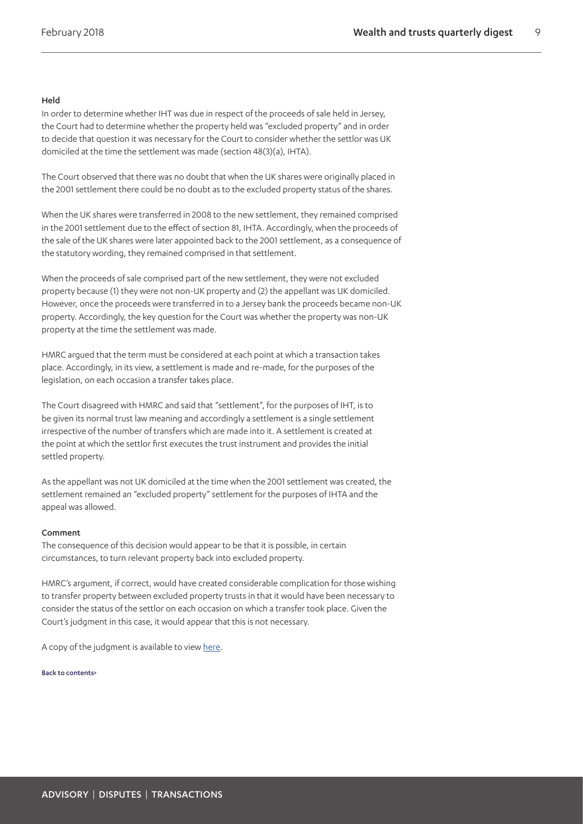#### Held

In order to determine whether IHT was due in respect of the proceeds of sale held in Jersey, the Court had to determine whether the property held was "excluded property" and in order to decide that question it was necessary for the Court to consider whether the settlor was UK domiciled at the time the settlement was made (section 48(3)(a), IHTA).

The Court observed that there was no doubt that when the UK shares were originally placed in the 2001 settlement there could be no doubt as to the excluded property status of the shares.

When the UK shares were transferred in 2008 to the new settlement, they remained comprised in the 2001 settlement due to the effect of section 81, IHTA. Accordingly, when the proceeds of the sale of the UK shares were later appointed back to the 2001 settlement, as a consequence of the statutory wording, they remained comprised in that settlement.

When the proceeds of sale comprised part of the new settlement, they were not excluded property because (1) they were not non-UK property and (2) the appellant was UK domiciled. However, once the proceeds were transferred in to a Jersey bank the proceeds became non-UK property. Accordingly, the key question for the Court was whether the property was non-UK property at the time the settlement was made.

HMRC argued that the term must be considered at each point at which a transaction takes place. Accordingly, in its view, a settlement is made and re-made, for the purposes of the legislation, on each occasion a transfer takes place.

The Court disagreed with HMRC and said that "settlement", for the purposes of IHT, is to be given its normal trust law meaning and accordingly a settlement is a single settlement irrespective of the number of transfers which are made into it. A settlement is created at the point at which the settlor first executes the trust instrument and provides the initial settled property.

As the appellant was not UK domiciled at the time when the 2001 settlement was created, the settlement remained an "excluded property" settlement for the purposes of IHTA and the appeal was allowed.

#### Comment

The consequence of this decision would appear to be that it is possible, in certain circumstances, to turn relevant property back into excluded property.

HMRC's argument, if correct, would have created considerable complication for those wishing to transfer property between excluded property trusts in that it would have been necessary to consider the status of the settlor on each occasion on which a transfer took place. Given the Court's judgment in this case, it would appear that this is not necessary.

A copy of the judgment is available to view [here](http://www.bailii.org/cgi-bin/format.cgi?doc=/ew/cases/EWCA/Civ/2017/1512.html&query=(Barclays)+AND+(Wealth)+AND+(Trustees)).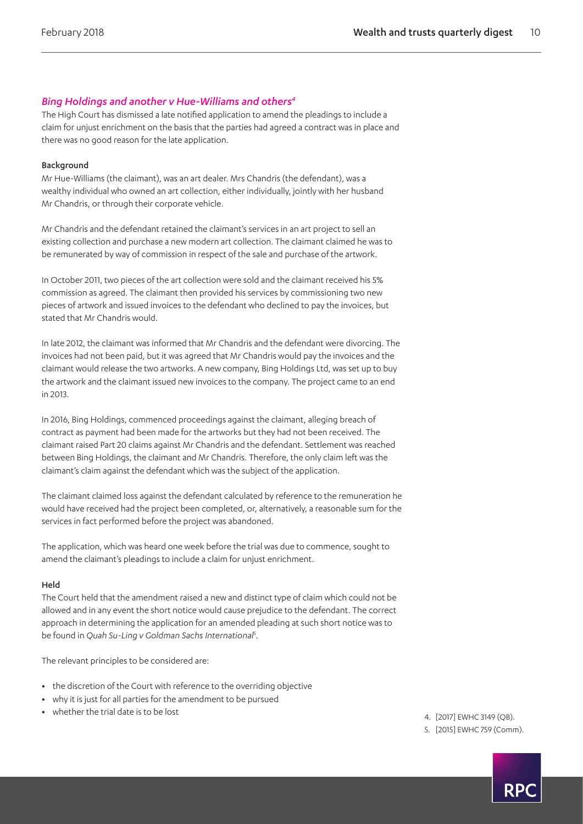# <span id="page-9-0"></span>*Bing Holdings and another v Hue-Williams and other[s4](#page-9-1)*

The High Court has dismissed a late notified application to amend the pleadings to include a claim for unjust enrichment on the basis that the parties had agreed a contract was in place and there was no good reason for the late application.

#### Background

Mr Hue-Williams (the claimant), was an art dealer. Mrs Chandris (the defendant), was a wealthy individual who owned an art collection, either individually, jointly with her husband Mr Chandris, or through their corporate vehicle.

Mr Chandris and the defendant retained the claimant's services in an art project to sell an existing collection and purchase a new modern art collection. The claimant claimed he was to be remunerated by way of commission in respect of the sale and purchase of the artwork.

In October 2011, two pieces of the art collection were sold and the claimant received his 5% commission as agreed. The claimant then provided his services by commissioning two new pieces of artwork and issued invoices to the defendant who declined to pay the invoices, but stated that Mr Chandris would.

In late 2012, the claimant was informed that Mr Chandris and the defendant were divorcing. The invoices had not been paid, but it was agreed that Mr Chandris would pay the invoices and the claimant would release the two artworks. A new company, Bing Holdings Ltd, was set up to buy the artwork and the claimant issued new invoices to the company. The project came to an end in 2013.

In 2016, Bing Holdings, commenced proceedings against the claimant, alleging breach of contract as payment had been made for the artworks but they had not been received. The claimant raised Part 20 claims against Mr Chandris and the defendant. Settlement was reached between Bing Holdings, the claimant and Mr Chandris. Therefore, the only claim left was the claimant's claim against the defendant which was the subject of the application.

The claimant claimed loss against the defendant calculated by reference to the remuneration he would have received had the project been completed, or, alternatively, a reasonable sum for the services in fact performed before the project was abandoned.

The application, which was heard one week before the trial was due to commence, sought to amend the claimant's pleadings to include a claim for unjust enrichment.

#### Held

The Court held that the amendment raised a new and distinct type of claim which could not be allowed and in any event the short notice would cause prejudice to the defendant. The correct approach in determining the application for an amended pleading at such short notice was to be found in *Quah Su-Ling v Goldman Sachs International*[5](#page-9-2) .

The relevant principles to be considered are:

- **•** the discretion of the Court with reference to the overriding objective
- **•** why it is just for all parties for the amendment to be pursued
- whether the trial date is to be lost  $\frac{1}{2017}$  eWHC 3149 (OB).
	-
	- 5. [2015] EWHC 759 (Comm).

<span id="page-9-2"></span><span id="page-9-1"></span>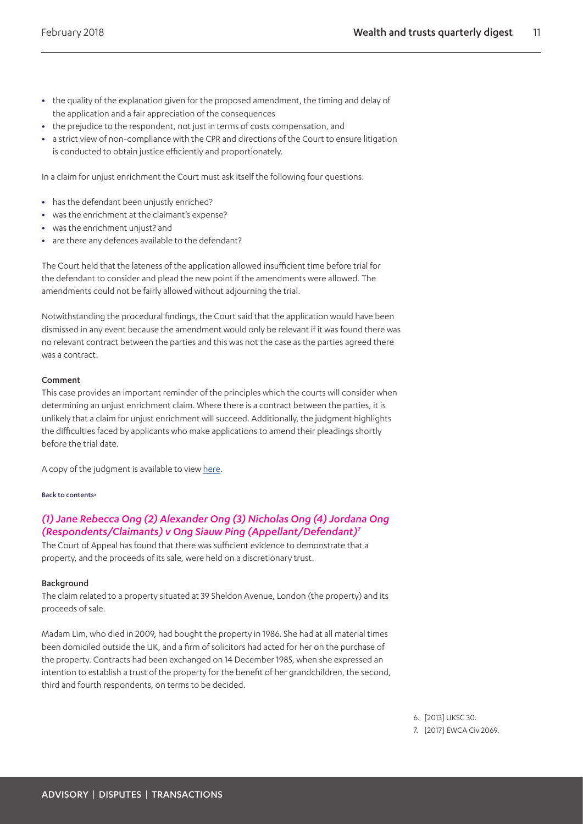- **•** the quality of the explanation given for the proposed amendment, the timing and delay of the application and a fair appreciation of the consequences
- **•** the prejudice to the respondent, not just in terms of costs compensation, and
- **•** a strict view of non-compliance with the CPR and directions of the Court to ensure litigation is conducted to obtain justice efficiently and proportionately.

In a claim for unjust enrichment the Court must ask itself the following four questions:

- **•** has the defendant been unjustly enriched?
- **•** was the enrichment at the claimant's expense?
- **•** was the enrichment unjust? and
- **•** are there any defences available to the defendant?

The Court held that the lateness of the application allowed insufficient time before trial for the defendant to consider and plead the new point if the amendments were allowed. The amendments could not be fairly allowed without adjourning the trial.

Notwithstanding the procedural findings, the Court said that the application would have been dismissed in any event because the amendment would only be relevant if it was found there was no relevant contract between the parties and this was not the case as the parties agreed there was a contract.

#### Comment

This case provides an important reminder of the principles which the courts will consider when determining an unjust enrichment claim. Where there is a contract between the parties, it is unlikely that a claim for unjust enrichment will succeed. Additionally, the judgment highlights the difficulties faced by applicants who make applications to amend their pleadings shortly before the trial date.

A copy of the judgment is available to view [here](http://www.bailii.org/ew/cases/EWHC/QB/2017/3149.html).

#### [Back to contents>](#page-0-0)

# <span id="page-10-0"></span>*(1) Jane Rebecca Ong (2) Alexander Ong (3) Nicholas Ong (4) Jordana Ong (Respondents/Claimants) v Ong Siauw Ping (Appellant/Defendant[\)7](#page-10-1)*

The Court of Appeal has found that there was sufficient evidence to demonstrate that a property, and the proceeds of its sale, were held on a discretionary trust.

#### Background

The claim related to a property situated at 39 Sheldon Avenue, London (the property) and its proceeds of sale.

Madam Lim, who died in 2009, had bought the property in 1986. She had at all material times been domiciled outside the UK, and a firm of solicitors had acted for her on the purchase of the property. Contracts had been exchanged on 14 December 1985, when she expressed an intention to establish a trust of the property for the benefit of her grandchildren, the second, third and fourth respondents, on terms to be decided.

6. [2013] UKSC 30.

<span id="page-10-1"></span>7. [2017] EWCA Civ 2069.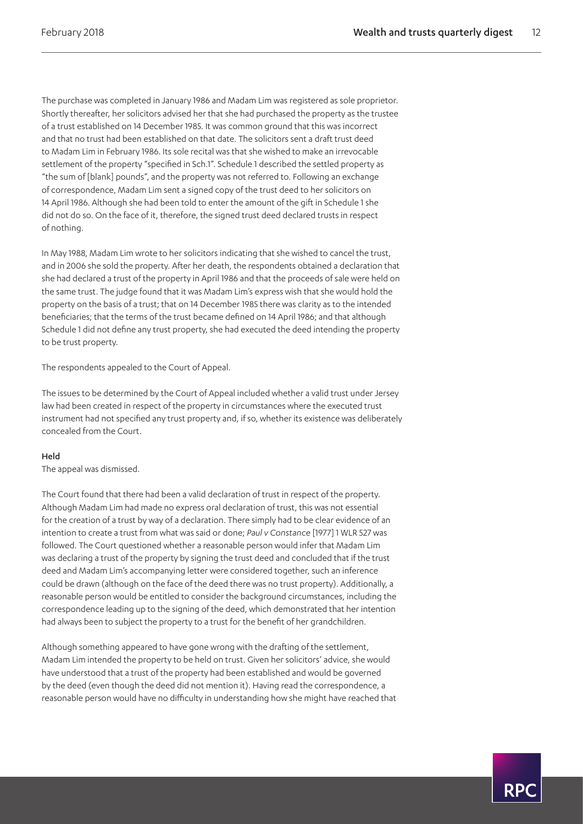The purchase was completed in January 1986 and Madam Lim was registered as sole proprietor. Shortly thereafter, her solicitors advised her that she had purchased the property as the trustee of a trust established on 14 December 1985. It was common ground that this was incorrect and that no trust had been established on that date. The solicitors sent a draft trust deed to Madam Lim in February 1986. Its sole recital was that she wished to make an irrevocable settlement of the property "specified in Sch.1". Schedule 1 described the settled property as "the sum of [blank] pounds", and the property was not referred to. Following an exchange of correspondence, Madam Lim sent a signed copy of the trust deed to her solicitors on 14 April 1986. Although she had been told to enter the amount of the gift in Schedule 1 she did not do so. On the face of it, therefore, the signed trust deed declared trusts in respect of nothing.

In May 1988, Madam Lim wrote to her solicitors indicating that she wished to cancel the trust, and in 2006 she sold the property. After her death, the respondents obtained a declaration that she had declared a trust of the property in April 1986 and that the proceeds of sale were held on the same trust. The judge found that it was Madam Lim's express wish that she would hold the property on the basis of a trust; that on 14 December 1985 there was clarity as to the intended beneficiaries; that the terms of the trust became defined on 14 April 1986; and that although Schedule 1 did not define any trust property, she had executed the deed intending the property to be trust property.

The respondents appealed to the Court of Appeal.

The issues to be determined by the Court of Appeal included whether a valid trust under Jersey law had been created in respect of the property in circumstances where the executed trust instrument had not specified any trust property and, if so, whether its existence was deliberately concealed from the Court.

#### Held

The appeal was dismissed.

The Court found that there had been a valid declaration of trust in respect of the property. Although Madam Lim had made no express oral declaration of trust, this was not essential for the creation of a trust by way of a declaration. There simply had to be clear evidence of an intention to create a trust from what was said or done; *Paul v Constance* [1977] 1 WLR 527 was followed. The Court questioned whether a reasonable person would infer that Madam Lim was declaring a trust of the property by signing the trust deed and concluded that if the trust deed and Madam Lim's accompanying letter were considered together, such an inference could be drawn (although on the face of the deed there was no trust property). Additionally, a reasonable person would be entitled to consider the background circumstances, including the correspondence leading up to the signing of the deed, which demonstrated that her intention had always been to subject the property to a trust for the benefit of her grandchildren.

Although something appeared to have gone wrong with the drafting of the settlement, Madam Lim intended the property to be held on trust. Given her solicitors' advice, she would have understood that a trust of the property had been established and would be governed by the deed (even though the deed did not mention it). Having read the correspondence, a reasonable person would have no difficulty in understanding how she might have reached that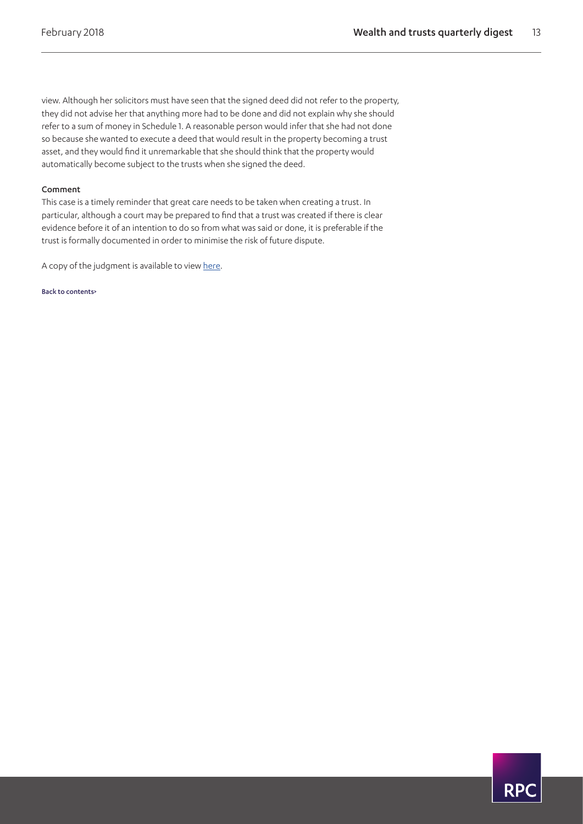view. Although her solicitors must have seen that the signed deed did not refer to the property, they did not advise her that anything more had to be done and did not explain why she should refer to a sum of money in Schedule 1. A reasonable person would infer that she had not done so because she wanted to execute a deed that would result in the property becoming a trust asset, and they would find it unremarkable that she should think that the property would automatically become subject to the trusts when she signed the deed.

#### Comment

This case is a timely reminder that great care needs to be taken when creating a trust. In particular, although a court may be prepared to find that a trust was created if there is clear evidence before it of an intention to do so from what was said or done, it is preferable if the trust is formally documented in order to minimise the risk of future dispute.

A copy of the judgment is available to view [here](http://www.bailii.org/ew/cases/EWCA/Civ/2017/2069.html).